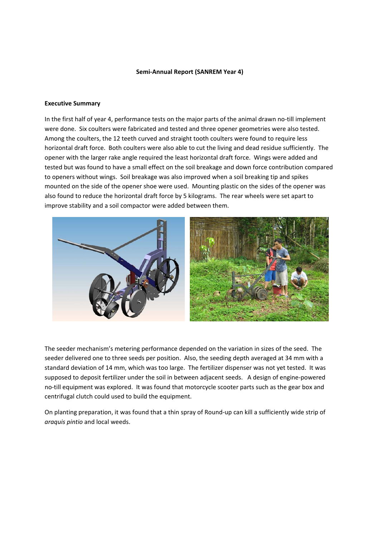#### **Semi‐Annual Report (SANREM Year 4)**

#### **Executive Summary**

In the first half of year 4, performance tests on the major parts of the animal drawn no-till implement were done. Six coulters were fabricated and tested and three opener geometries were also tested. Among the coulters, the 12 teeth curved and straight tooth coulters were found to require less horizontal draft force. Both coulters were also able to cut the living and dead residue sufficiently. The opener with the larger rake angle required the least horizontal draft force. Wings were added and tested but was found to have a small effect on the soil breakage and down force contribution compared to openers without wings. Soil breakage was also improved when a soil breaking tip and spikes mounted on the side of the opener shoe were used. Mounting plastic on the sides of the opener was also found to reduce the horizontal draft force by 5 kilograms. The rear wheels were set apart to improve stability and a soil compactor were added between them.



The seeder mechanism's metering performance depended on the variation in sizes of the seed. The seeder delivered one to three seeds per position. Also, the seeding depth averaged at 34 mm with a standard deviation of 14 mm, which was too large. The fertilizer dispenser was not yet tested. It was supposed to deposit fertilizer under the soil in between adjacent seeds. A design of engine‐powered no‐till equipment was explored. It was found that motorcycle scooter parts such as the gear box and centrifugal clutch could used to build the equipment.

On planting preparation, it was found that a thin spray of Round‐up can kill a sufficiently wide strip of *araquis pintio* and local weeds.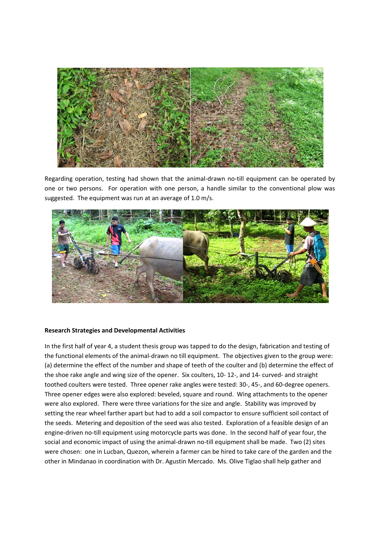

Regarding operation, testing had shown that the animal‐drawn no‐till equipment can be operated by one or two persons. For operation with one person, a handle similar to the conventional plow was suggested. The equipment was run at an average of 1.0 m/s.



#### **Research Strategies and Developmental Activities**

In the first half of year 4, a student thesis group was tapped to do the design, fabrication and testing of the functional elements of the animal‐drawn no till equipment. The objectives given to the group were: (a) determine the effect of the number and shape of teeth of the coulter and (b) determine the effect of the shoe rake angle and wing size of the opener. Six coulters, 10‐ 12‐, and 14‐ curved‐ and straight toothed coulters were tested. Three opener rake angles were tested: 30‐, 45‐, and 60‐degree openers. Three opener edges were also explored: beveled, square and round. Wing attachments to the opener were also explored. There were three variations for the size and angle. Stability was improved by setting the rear wheel farther apart but had to add a soil compactor to ensure sufficient soil contact of the seeds. Metering and deposition of the seed was also tested. Exploration of a feasible design of an engine-driven no-till equipment using motorcycle parts was done. In the second half of year four, the social and economic impact of using the animal-drawn no-till equipment shall be made. Two (2) sites were chosen: one in Lucban, Quezon, wherein a farmer can be hired to take care of the garden and the other in Mindanao in coordination with Dr. Agustin Mercado. Ms. Olive Tiglao shall help gather and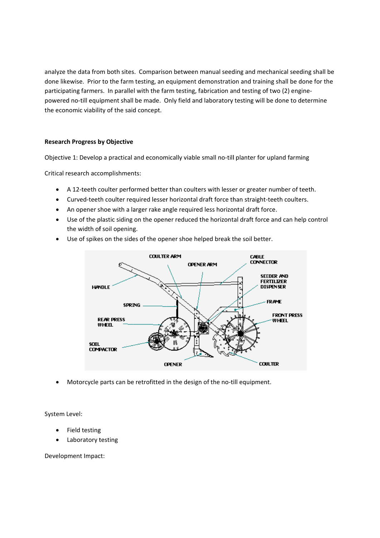analyze the data from both sites. Comparison between manual seeding and mechanical seeding shall be done likewise. Prior to the farm testing, an equipment demonstration and training shall be done for the participating farmers. In parallel with the farm testing, fabrication and testing of two (2) enginepowered no-till equipment shall be made. Only field and laboratory testing will be done to determine the economic viability of the said concept.

# **Research Progress by Objective**

Objective 1: Develop a practical and economically viable small no-till planter for upland farming

Critical research accomplishments:

- A 12-teeth coulter performed better than coulters with lesser or greater number of teeth.
- Curved-teeth coulter required lesser horizontal draft force than straight-teeth coulters.  $\bullet$
- An opener shoe with a larger rake angle required less horizontal draft force.
- Use of the plastic siding on the opener reduced the horizontal draft force and can help control the width of soil opening.
- Use of spikes on the sides of the opener shoe helped break the soil better.  $\bullet$



Motorcycle parts can be retrofitted in the design of the no-till equipment.

System Level:

- Field testing
- Laboratory testing

Development Impact: